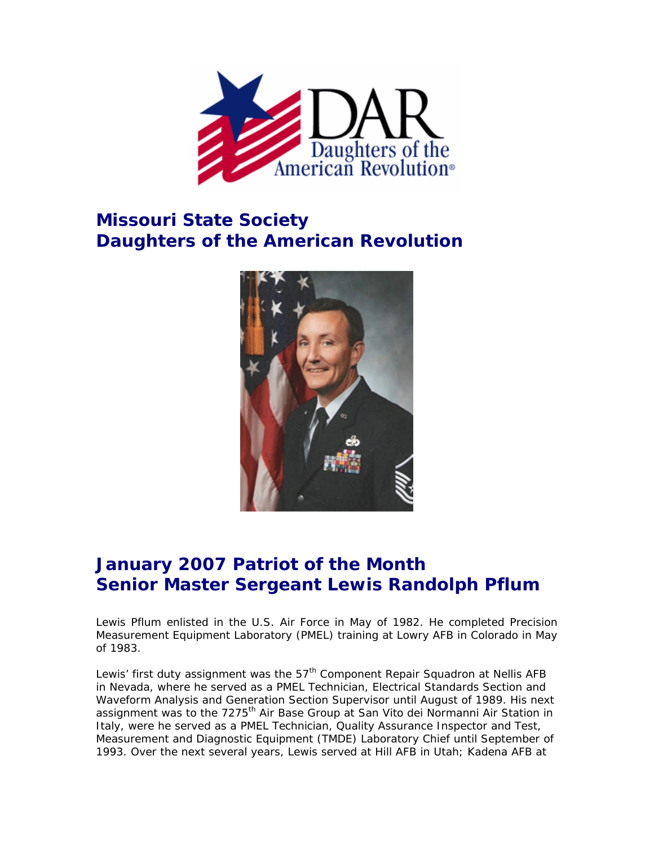

## **Missouri State Society Daughters of the American Revolution**



## **January 2007 Patriot of the Month Senior Master Sergeant Lewis Randolph Pflum**

Lewis Pflum enlisted in the U.S. Air Force in May of 1982. He completed Precision Measurement Equipment Laboratory (PMEL) training at Lowry AFB in Colorado in May of 1983.

Lewis' first duty assignment was the 57<sup>th</sup> Component Repair Squadron at Nellis AFB in Nevada, where he served as a PMEL Technician, Electrical Standards Section and Waveform Analysis and Generation Section Supervisor until August of 1989. His next assignment was to the 7275<sup>th</sup> Air Base Group at San Vito dei Normanni Air Station in Italy, were he served as a PMEL Technician, Quality Assurance Inspector and Test, Measurement and Diagnostic Equipment (TMDE) Laboratory Chief until September of 1993. Over the next several years, Lewis served at Hill AFB in Utah; Kadena AFB at